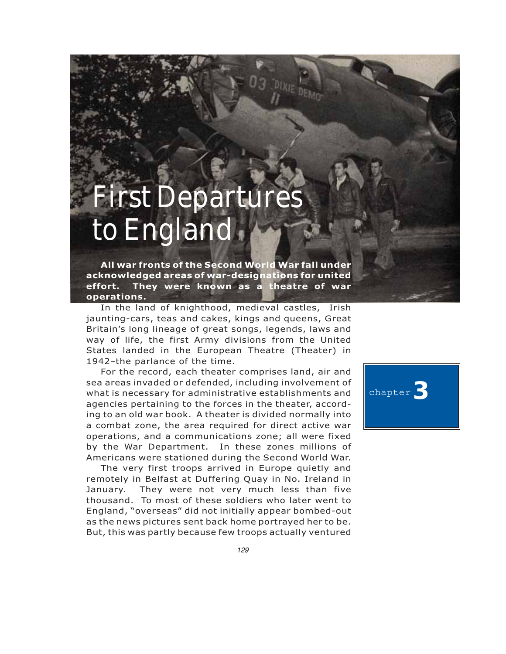## First Departures to England

**All war fronts of the Second World War fall under acknowledged areas of war-designations for united effort. They were known as a theatre of war operations.**

DIXIE DEN

П

In the land of knighthood, medieval castles, Irish jaunting-cars, teas and cakes, kings and queens, Great Britain's long lineage of great songs, legends, laws and way of life, the first Army divisions from the United States landed in the European Theatre (Theater) in 1942–the parlance of the time.

For the record, each theater comprises land, air and sea areas invaded or defended, including involvement of what is necessary for administrative establishments and agencies pertaining to the forces in the theater, according to an old war book. A theater is divided normally into a combat zone, the area required for direct active war operations, and a communications zone; all were fixed by the War Department. In these zones millions of Americans were stationed during the Second World War.

The very first troops arrived in Europe quietly and remotely in Belfast at Duffering Quay in No. Ireland in January. They were not very much less than five thousand. To most of these soldiers who later went to England, "overseas" did not initially appear bombed-out as the news pictures sent back home portrayed her to be. But, this was partly because few troops actually ventured

chapter **3**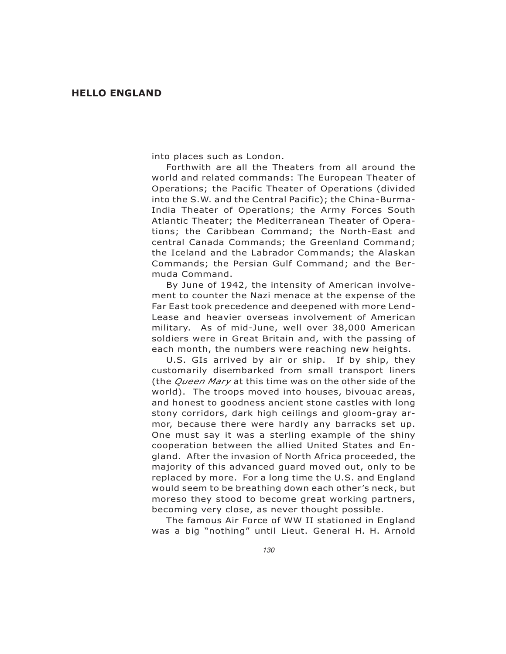into places such as London.

Forthwith are all the Theaters from all around the world and related commands: The European Theater of Operations; the Pacific Theater of Operations (divided into the S.W. and the Central Pacific); the China-Burma-India Theater of Operations; the Army Forces South Atlantic Theater; the Mediterranean Theater of Operations; the Caribbean Command; the North-East and central Canada Commands; the Greenland Command; the Iceland and the Labrador Commands; the Alaskan Commands; the Persian Gulf Command; and the Bermuda Command.

By June of 1942, the intensity of American involvement to counter the Nazi menace at the expense of the Far East took precedence and deepened with more Lend-Lease and heavier overseas involvement of American military. As of mid-June, well over 38,000 American soldiers were in Great Britain and, with the passing of each month, the numbers were reaching new heights.

U.S. GIs arrived by air or ship. If by ship, they customarily disembarked from small transport liners (the *Queen Mary* at this time was on the other side of the world). The troops moved into houses, bivouac areas, and honest to goodness ancient stone castles with long stony corridors, dark high ceilings and gloom-gray armor, because there were hardly any barracks set up. One must say it was a sterling example of the shiny cooperation between the allied United States and England. After the invasion of North Africa proceeded, the majority of this advanced guard moved out, only to be replaced by more. For a long time the U.S. and England would seem to be breathing down each other's neck, but moreso they stood to become great working partners, becoming very close, as never thought possible.

The famous Air Force of WW II stationed in England was a big "nothing" until Lieut. General H. H. Arnold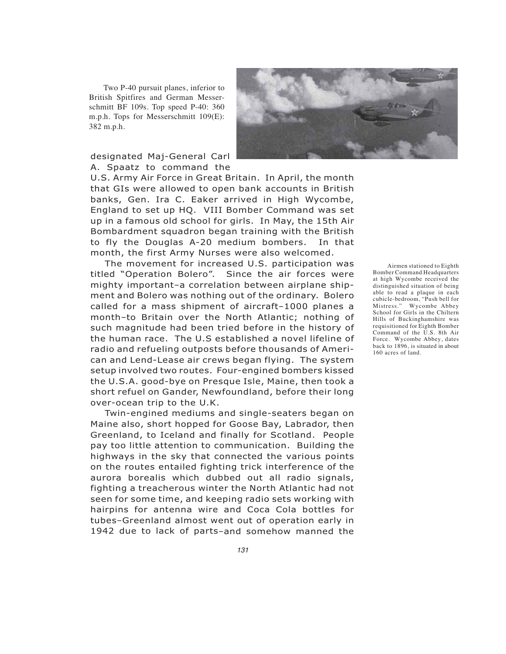Two P-40 pursuit planes, inferior to British Spitfires and German Messerschmitt BF 109s. Top speed P-40: 360 m.p.h. Tops for Messerschmitt 109(E): 382 m.p.h.



designated Maj-General Carl A. Spaatz to command the

U.S. Army Air Force in Great Britain. In April, the month that GIs were allowed to open bank accounts in British banks, Gen. Ira C. Eaker arrived in High Wycombe, England to set up HQ. VIII Bomber Command was set up in a famous old school for girls. In May, the 15th Air Bombardment squadron began training with the British to fly the Douglas A-20 medium bombers. In that month, the first Army Nurses were also welcomed.

The movement for increased U.S. participation was titled "Operation Bolero". Since the air forces were mighty important–a correlation between airplane shipment and Bolero was nothing out of the ordinary. Bolero called for a mass shipment of aircraft–1000 planes a month–to Britain over the North Atlantic; nothing of such magnitude had been tried before in the history of the human race. The U.S established a novel lifeline of radio and refueling outposts before thousands of American and Lend-Lease air crews began flying. The system setup involved two routes. Four-engined bombers kissed the U.S.A. good-bye on Presque Isle, Maine, then took a short refuel on Gander, Newfoundland, before their long over-ocean trip to the U.K.

Twin-engined mediums and single-seaters began on Maine also, short hopped for Goose Bay, Labrador, then Greenland, to Iceland and finally for Scotland. People pay too little attention to communication. Building the highways in the sky that connected the various points on the routes entailed fighting trick interference of the aurora borealis which dubbed out all radio signals, fighting a treacherous winter the North Atlantic had not seen for some time, and keeping radio sets working with hairpins for antenna wire and Coca Cola bottles for tubes–Greenland almost went out of operation early in 1942 due to lack of parts–and somehow manned the

Airmen stationed to Eighth Bomber Command Headquarters at high Wycombe received the distinguished situation of being able to read a plaque in each cubicle-bedroom, "Push bell for<br>Mistress." Wycombe Abbey Wycombe Abbey School for Girls in the Chiltern Hills of Buckinghamshire was requisitioned for Eighth Bomber Command of the U.S. 8th Air Force. Wycombe Abbey, dates back to 1896, is situated in about 160 acres of land.